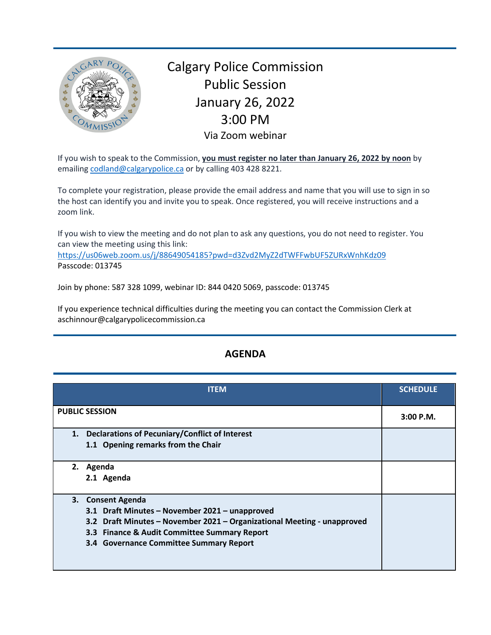

Calgary Police Commission Public Session January 26, 2022 3:00 PM Via Zoom webinar

If you wish to speak to the Commission, **you must register no later than January 26, 2022 by noon** by emailing [codland@calgarypolice.ca](mailto:codland@calgarypolice.ca) or by calling 403 428 8221.

To complete your registration, please provide the email address and name that you will use to sign in so the host can identify you and invite you to speak. Once registered, you will receive instructions and a zoom link.

If you wish to view the meeting and do not plan to ask any questions, you do not need to register. You can view the meeting using this link:

<https://us06web.zoom.us/j/88649054185?pwd=d3Zvd2MyZ2dTWFFwbUF5ZURxWnhKdz09> Passcode: 013745

Join by phone: 587 328 1099, webinar ID: 844 0420 5069, passcode: 013745

If you experience technical difficulties during the meeting you can contact the Commission Clerk at aschinnour@calgarypolicecommission.ca

| <b>ITEM</b>                                                                                                                                                                                                                               | <b>SCHEDULE</b> |
|-------------------------------------------------------------------------------------------------------------------------------------------------------------------------------------------------------------------------------------------|-----------------|
| <b>PUBLIC SESSION</b>                                                                                                                                                                                                                     | $3:00$ P.M.     |
| 1. Declarations of Pecuniary/Conflict of Interest<br>1.1 Opening remarks from the Chair                                                                                                                                                   |                 |
| 2.<br>Agenda<br>2.1 Agenda                                                                                                                                                                                                                |                 |
| 3. Consent Agenda<br>3.1 Draft Minutes - November 2021 - unapproved<br>3.2 Draft Minutes - November 2021 - Organizational Meeting - unapproved<br>3.3 Finance & Audit Committee Summary Report<br>3.4 Governance Committee Summary Report |                 |

## **AGENDA**